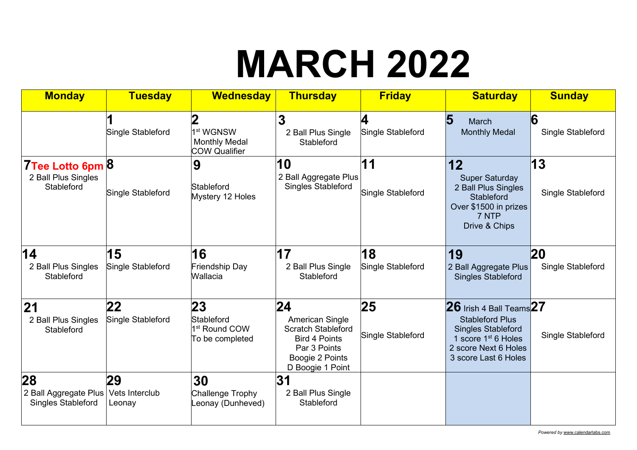# **MARCH 2022**

| <b>Monday</b>                                                             | <b>Tuesday</b>          | <b>Wednesday</b>                                                           | <b>Thursday</b>                                                                                                                   | <b>Friday</b>           | <b>Saturday</b>                                                                                                                                                        | <b>Sunday</b>                  |
|---------------------------------------------------------------------------|-------------------------|----------------------------------------------------------------------------|-----------------------------------------------------------------------------------------------------------------------------------|-------------------------|------------------------------------------------------------------------------------------------------------------------------------------------------------------------|--------------------------------|
|                                                                           | Single Stableford       | 2<br>1 <sup>st</sup> WGNSW<br><b>Monthly Medal</b><br><b>COW Qualifier</b> | 3<br>2 Ball Plus Single<br>Stableford                                                                                             | 4<br>Single Stableford  | 5<br>March<br><b>Monthly Medal</b>                                                                                                                                     | 6<br>Single Stableford         |
| 7Tee Lotto 6pm 8<br>2 Ball Plus Singles<br>Stableford                     | Single Stableford       | 9<br>Stableford<br>Mystery 12 Holes                                        | 10<br>2 Ball Aggregate Plus<br><b>Singles Stableford</b>                                                                          | 11<br>Single Stableford | 12<br><b>Super Saturday</b><br>2 Ball Plus Singles<br>Stableford<br>Over \$1500 in prizes<br>7 NTP<br>Drive & Chips                                                    | 13<br>Single Stableford        |
| 14<br>2 Ball Plus Singles<br>Stableford                                   | 15<br>Single Stableford | 16<br>Friendship Day<br>Wallacia                                           | 17<br>2 Ball Plus Single<br>Stableford                                                                                            | 18<br>Single Stableford | 19<br>2 Ball Aggregate Plus<br><b>Singles Stableford</b>                                                                                                               | <b>20</b><br>Single Stableford |
| 21<br>2 Ball Plus Singles<br>Stableford                                   | 22<br>Single Stableford | 23<br>Stableford<br>1 <sup>st</sup> Round COW<br>To be completed           | 24<br>American Single<br><b>Scratch Stableford</b><br><b>Bird 4 Points</b><br>Par 3 Points<br>Boogie 2 Points<br>D Boogie 1 Point | 25<br>Single Stableford | $26$ Irish 4 Ball Teams $27$<br><b>Stableford Plus</b><br><b>Singles Stableford</b><br>1 score 1 <sup>st</sup> 6 Holes<br>2 score Next 6 Holes<br>3 score Last 6 Holes | Single Stableford              |
| 28<br>2 Ball Aggregate Plus   Vets Interclub<br><b>Singles Stableford</b> | 29<br>Leonay            | 30<br>Challenge Trophy<br>Leonay (Dunheved)                                | 31<br>2 Ball Plus Single<br>Stableford                                                                                            |                         |                                                                                                                                                                        |                                |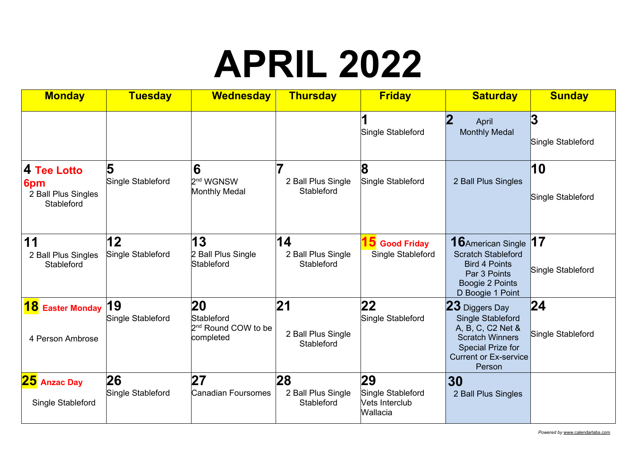## **APRIL 2022**

| <b>Monday</b>                                           | <b>Tuesday</b>          | <b>Wednesday</b>                                                        | <b>Thursday</b>                               | <b>Friday</b>                                         | <b>Saturday</b>                                                                                                                                          | <b>Sunday</b>                        |
|---------------------------------------------------------|-------------------------|-------------------------------------------------------------------------|-----------------------------------------------|-------------------------------------------------------|----------------------------------------------------------------------------------------------------------------------------------------------------------|--------------------------------------|
|                                                         |                         |                                                                         |                                               | Single Stableford                                     | 2<br>April<br><b>Monthly Medal</b>                                                                                                                       | 3<br>Single Stableford               |
| 4 Tee Lotto<br>6pm<br>2 Ball Plus Singles<br>Stableford | 5<br>Single Stableford  | 6<br>2 <sup>nd</sup> WGNSW<br><b>Monthly Medal</b>                      | 2 Ball Plus Single<br>Stableford              | Single Stableford                                     | 2 Ball Plus Singles                                                                                                                                      | 10<br>Single Stableford              |
| 11<br>2 Ball Plus Singles<br>Stableford                 | 12<br>Single Stableford | 13<br>2 Ball Plus Single<br>Stableford                                  | 14<br>2 Ball Plus Single<br>Stableford        | 15 Good Friday<br>Single Stableford                   | <b>16</b> American Single<br><b>Scratch Stableford</b><br><b>Bird 4 Points</b><br>Par 3 Points<br>Boogie 2 Points<br>D Boogie 1 Point                    | $\overline{17}$<br>Single Stableford |
| <b>18</b> Easter Monday<br>4 Person Ambrose             | 19<br>Single Stableford | <b>20</b><br>Stableford<br>2 <sup>nd</sup> Round COW to be<br>completed | 21<br>2 Ball Plus Single<br>Stableford        | 22<br>Single Stableford                               | 23 Diggers Day<br><b>Single Stableford</b><br>A, B, C, C2 Net &<br><b>Scratch Winners</b><br>Special Prize for<br><b>Current or Ex-service</b><br>Person | 24 <br>Single Stableford             |
| 25 Anzac Day<br>Single Stableford                       | 26<br>Single Stableford | 27<br>Canadian Foursomes                                                | 28<br>2 Ball Plus Single<br><b>Stableford</b> | 29<br>Single Stableford<br>Vets Interclub<br>Wallacia | 30<br>2 Ball Plus Singles                                                                                                                                |                                      |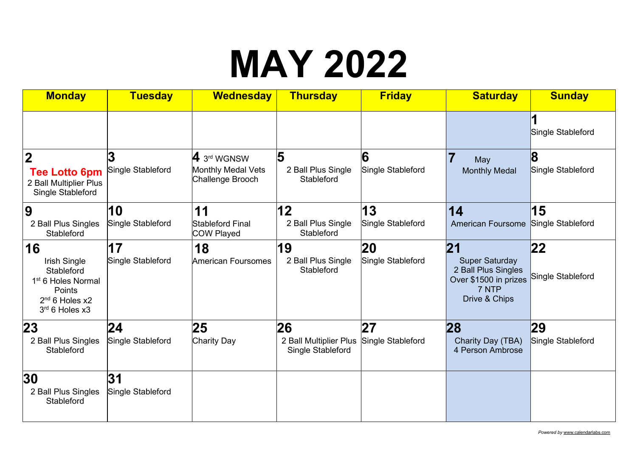#### **MAY 2022**

| <b>Monday</b>                                                                                                                 | <b>Tuesday</b>          | <b>Wednesday</b>                                      | <b>Thursday</b>                             | <b>Friday</b>          | <b>Saturday</b>                                                                                 | <b>Sunday</b>          |
|-------------------------------------------------------------------------------------------------------------------------------|-------------------------|-------------------------------------------------------|---------------------------------------------|------------------------|-------------------------------------------------------------------------------------------------|------------------------|
|                                                                                                                               |                         |                                                       |                                             |                        |                                                                                                 | Single Stableford      |
| $\overline{2}$<br><b>Tee Lotto 6pm</b><br>2 Ball Multiplier Plus<br>Single Stableford                                         | Single Stableford       | 4 3rd WGNSW<br>Monthly Medal Vets<br>Challenge Brooch | 5<br>2 Ball Plus Single<br>Stableford       | 6<br>Single Stableford | May<br><b>Monthly Medal</b>                                                                     | 8<br>Single Stableford |
| 9                                                                                                                             | 10                      | 11                                                    | 12                                          | 13                     | 14                                                                                              | 15                     |
| 2 Ball Plus Singles<br><b>Stableford</b>                                                                                      | Single Stableford       | <b>Stableford Final</b><br>COW Played                 | 2 Ball Plus Single<br>Stableford            | Single Stableford      | <b>American Foursome</b>                                                                        | Single Stableford      |
| 16                                                                                                                            | 17                      | 18                                                    | 19                                          | 20                     | 21                                                                                              | 22                     |
| Irish Single<br><b>Stableford</b><br>1 <sup>st</sup> 6 Holes Normal<br>Points<br>2 <sup>nd</sup> 6 Holes x2<br>3rd 6 Holes x3 | Single Stableford       | <b>American Foursomes</b>                             | 2 Ball Plus Single<br>Stableford            | Single Stableford      | <b>Super Saturday</b><br>2 Ball Plus Singles<br>Over \$1500 in prizes<br>7 NTP<br>Drive & Chips | Single Stableford      |
| 23                                                                                                                            | 24                      | 25                                                    | 26                                          | 27                     | 28                                                                                              | 29                     |
| 2 Ball Plus Singles<br>Stableford                                                                                             | Single Stableford       | <b>Charity Day</b>                                    | 2 Ball Multiplier Plus<br>Single Stableford | Single Stableford      | Charity Day (TBA)<br>4 Person Ambrose                                                           | Single Stableford      |
| 30<br>2 Ball Plus Singles<br>Stableford                                                                                       | 31<br>Single Stableford |                                                       |                                             |                        |                                                                                                 |                        |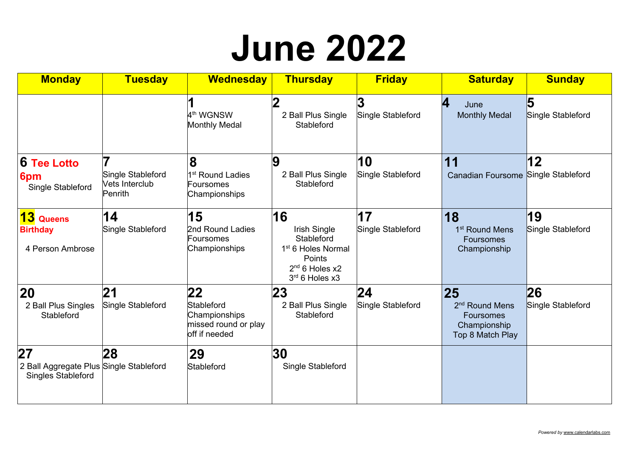#### **June 2022**

| <b>Monday</b>                                                              | <b>Tuesday</b>                                 | <b>Wednesday</b>                                                           | <b>Thursday</b>                                                                                                    | <b>Friday</b>           | <b>Saturday</b>                                                                          | <b>Sunday</b>                                |
|----------------------------------------------------------------------------|------------------------------------------------|----------------------------------------------------------------------------|--------------------------------------------------------------------------------------------------------------------|-------------------------|------------------------------------------------------------------------------------------|----------------------------------------------|
|                                                                            |                                                | 4 <sup>th</sup> WGNSW<br><b>Monthly Medal</b>                              | 2 Ball Plus Single<br>Stableford                                                                                   | Single Stableford       | 4<br>June<br><b>Monthly Medal</b>                                                        | $\overline{\mathbf{5}}$<br>Single Stableford |
| <b>6 Tee Lotto</b><br>6pm<br>Single Stableford                             | Single Stableford<br>Vets Interclub<br>Penrith | 8<br>1 <sup>st</sup> Round Ladies<br><b>Foursomes</b><br>Championships     | 9<br>2 Ball Plus Single<br>Stableford                                                                              | 10<br>Single Stableford | 11<br>Canadian Foursome Single Stableford                                                | 12                                           |
| 13 Queens<br><b>Birthday</b><br>4 Person Ambrose                           | 14<br>Single Stableford                        | 15<br>2nd Round Ladies<br>Foursomes<br>Championships                       | 16<br>Irish Single<br>Stableford<br>1 <sup>st</sup> 6 Holes Normal<br>Points<br>$2nd$ 6 Holes x2<br>3rd 6 Holes x3 | 17<br>Single Stableford | 18<br>1 <sup>st</sup> Round Mens<br><b>Foursomes</b><br>Championship                     | 19<br>Single Stableford                      |
| 20<br>2 Ball Plus Singles<br>Stableford                                    | 21<br>Single Stableford                        | 22<br>Stableford<br>Championships<br>missed round or play<br>off if needed | 23<br>2 Ball Plus Single<br>Stableford                                                                             | 24<br>Single Stableford | 25<br>2 <sup>nd</sup> Round Mens<br><b>Foursomes</b><br>Championship<br>Top 8 Match Play | 26<br>Single Stableford                      |
| 27<br>2 Ball Aggregate Plus Single Stableford<br><b>Singles Stableford</b> | 28                                             | 29<br>Stableford                                                           | 30<br>Single Stableford                                                                                            |                         |                                                                                          |                                              |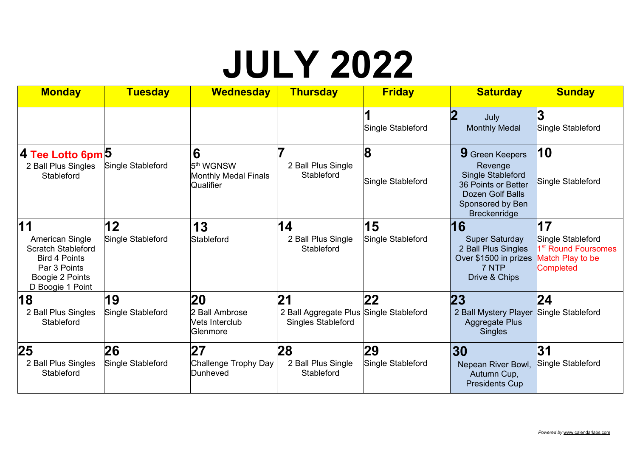# **JULY 2022**

| <b>Monday</b>                                                                                                                     | <b>Tuesday</b>          | <b>Wednesday</b>                                                       | <b>Thursday</b>                                                            | <b>Friday</b>           | <b>Saturday</b>                                                                                                                              | <b>Sunday</b>                                                                                      |
|-----------------------------------------------------------------------------------------------------------------------------------|-------------------------|------------------------------------------------------------------------|----------------------------------------------------------------------------|-------------------------|----------------------------------------------------------------------------------------------------------------------------------------------|----------------------------------------------------------------------------------------------------|
|                                                                                                                                   |                         |                                                                        |                                                                            | Single Stableford       | $\bf{2}$<br>July<br><b>Monthly Medal</b>                                                                                                     | 3<br>Single Stableford                                                                             |
| 4 Tee Lotto 6pm 5<br>2 Ball Plus Singles<br>Stableford                                                                            | Single Stableford       | 6<br>5 <sup>th</sup> WGNSW<br><b>Monthly Medal Finals</b><br>Qualifier | 7<br>2 Ball Plus Single<br>Stableford                                      | 8<br>Single Stableford  | 9 Green Keepers<br>Revenge<br><b>Single Stableford</b><br>36 Points or Better<br>Dozen Golf Balls<br>Sponsored by Ben<br><b>Breckenridge</b> | 10<br>Single Stableford                                                                            |
| 11<br>American Single<br><b>Scratch Stableford</b><br><b>Bird 4 Points</b><br>Par 3 Points<br>Boogie 2 Points<br>D Boogie 1 Point | 12<br>Single Stableford | 13<br>Stableford                                                       | 14<br>2 Ball Plus Single<br>Stableford                                     | 15<br>Single Stableford | 16<br><b>Super Saturday</b><br>2 Ball Plus Singles<br>Over \$1500 in prizes<br>7 NTP<br>Drive & Chips                                        | 17<br>Single Stableford<br>1 <sup>st</sup> Round Foursomes<br>Match Play to be<br><b>Completed</b> |
| 18<br>2 Ball Plus Singles<br><b>Stableford</b>                                                                                    | 19<br>Single Stableford | 20<br>2 Ball Ambrose<br>Vets Interclub<br>Glenmore                     | 21<br>2 Ball Aggregate Plus Single Stableford<br><b>Singles Stableford</b> | 22                      | 23<br>2 Ball Mystery Player Single Stableford<br><b>Aggregate Plus</b><br><b>Singles</b>                                                     | 24                                                                                                 |
| 25<br>2 Ball Plus Singles<br><b>Stableford</b>                                                                                    | 26<br>Single Stableford | 27<br>Challenge Trophy Day<br>Dunheved                                 | 28<br>2 Ball Plus Single<br>Stableford                                     | 29<br>Single Stableford | 30<br>Nepean River Bowl,<br>Autumn Cup,<br><b>Presidents Cup</b>                                                                             | 31<br>Single Stableford                                                                            |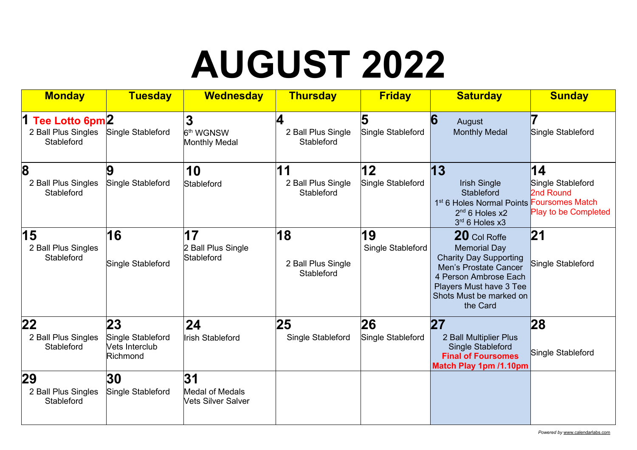# **AUGUST 2022**

| <b>Monday</b>                                            | <b>Tuesday</b>                                        | <b>Wednesday</b>                                          | <b>Thursday</b>                        | <b>Friday</b>           | <b>Saturday</b>                                                                                                                                                                                 | <b>Sunday</b>                                                                                 |
|----------------------------------------------------------|-------------------------------------------------------|-----------------------------------------------------------|----------------------------------------|-------------------------|-------------------------------------------------------------------------------------------------------------------------------------------------------------------------------------------------|-----------------------------------------------------------------------------------------------|
| 1<br>Tee Lotto 6pm2<br>2 Ball Plus Singles<br>Stableford | Single Stableford                                     | 3<br>6 <sup>th</sup> WGNSW<br><b>Monthly Medal</b>        | 4<br>2 Ball Plus Single<br>Stableford  | Single Stableford       | 6<br>August<br><b>Monthly Medal</b>                                                                                                                                                             | Single Stableford                                                                             |
| 8<br>2 Ball Plus Singles<br>Stableford                   | 9<br>Single Stableford                                | 10<br>Stableford                                          | 11<br>2 Ball Plus Single<br>Stableford | 12<br>Single Stableford | 13<br><b>Irish Single</b><br><b>Stableford</b><br>1 <sup>st</sup> 6 Holes Normal Points<br>$2nd$ 6 Holes x2<br>3rd 6 Holes x3                                                                   | 14<br>Single Stableford<br>2nd Round<br><b>Foursomes Match</b><br><b>Play to be Completed</b> |
| 15<br>2 Ball Plus Singles<br>Stableford                  | 16<br>Single Stableford                               | 17<br>2 Ball Plus Single<br>Stableford                    | 18<br>2 Ball Plus Single<br>Stableford | 19<br>Single Stableford | 20 Col Roffe<br><b>Memorial Day</b><br><b>Charity Day Supporting</b><br><b>Men's Prostate Cancer</b><br>4 Person Ambrose Each<br>Players Must have 3 Tee<br>Shots Must be marked on<br>the Card | 21<br>Single Stableford                                                                       |
| $22 \,$<br>2 Ball Plus Singles<br>Stableford             | 23<br>Single Stableford<br>Vets Interclub<br>Richmond | 24<br><b>Irish Stableford</b>                             | 25<br>Single Stableford                | 26<br>Single Stableford | 27<br>2 Ball Multiplier Plus<br><b>Single Stableford</b><br><b>Final of Foursomes</b><br>Match Play 1pm /1.10pm                                                                                 | 28<br>Single Stableford                                                                       |
| 29<br>2 Ball Plus Singles<br><b>Stableford</b>           | 30<br>Single Stableford                               | 31<br><b>Medal of Medals</b><br><b>Vets Silver Salver</b> |                                        |                         |                                                                                                                                                                                                 |                                                                                               |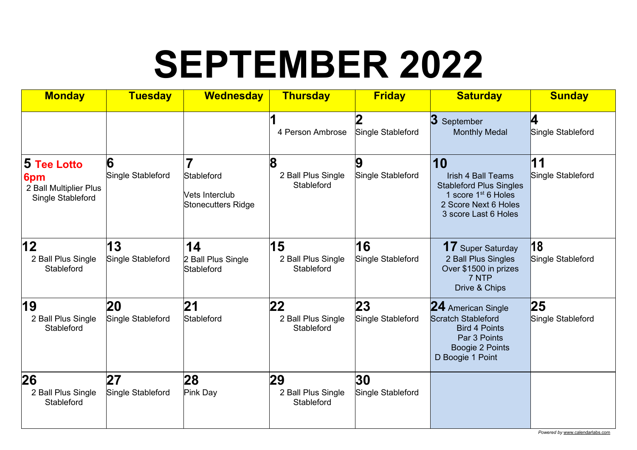# **SEPTEMBER 2022**

| <b>Monday</b>                                                            | <b>Tuesday</b>          | <b>Wednesday</b>                                                     | <b>Thursday</b>                        | <b>Friday</b>           | <b>Saturday</b>                                                                                                                                      | <b>Sunday</b>           |
|--------------------------------------------------------------------------|-------------------------|----------------------------------------------------------------------|----------------------------------------|-------------------------|------------------------------------------------------------------------------------------------------------------------------------------------------|-------------------------|
|                                                                          |                         |                                                                      | 4 Person Ambrose                       | Single Stableford       | 3<br>September<br><b>Monthly Medal</b>                                                                                                               | 4<br>Single Stableford  |
| <b>5 Tee Lotto</b><br>6pm<br>2 Ball Multiplier Plus<br>Single Stableford | 6<br>Single Stableford  | $\overline{7}$<br>Stableford<br>Vets Interclub<br>Stonecutters Ridge | 8<br>2 Ball Plus Single<br>Stableford  | 9<br>Single Stableford  | 10<br><b>Irish 4 Ball Teams</b><br><b>Stableford Plus Singles</b><br>1 score 1 <sup>st</sup> 6 Holes<br>2 Score Next 6 Holes<br>3 score Last 6 Holes | 11<br>Single Stableford |
| 12<br>2 Ball Plus Single<br>Stableford                                   | 13<br>Single Stableford | 14<br>2 Ball Plus Single<br>Stableford                               | 15<br>2 Ball Plus Single<br>Stableford | 16<br>Single Stableford | <b>17</b> Super Saturday<br>2 Ball Plus Singles<br>Over \$1500 in prizes<br>7 NTP<br>Drive & Chips                                                   | 18<br>Single Stableford |
| 19<br>2 Ball Plus Single<br>Stableford                                   | 20<br>Single Stableford | 21<br>Stableford                                                     | 22<br>2 Ball Plus Single<br>Stableford | 23<br>Single Stableford | 24 American Single<br><b>Scratch Stableford</b><br><b>Bird 4 Points</b><br>Par 3 Points<br>Boogie 2 Points<br>D Boogie 1 Point                       | 25<br>Single Stableford |
| 26<br>2 Ball Plus Single<br>Stableford                                   | 27<br>Single Stableford | 28<br>Pink Day                                                       | 29<br>2 Ball Plus Single<br>Stableford | 30<br>Single Stableford |                                                                                                                                                      |                         |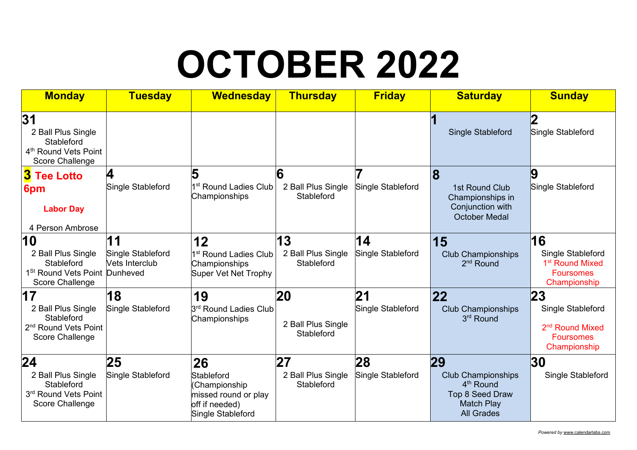# **OCTOBER 2022**

| <b>Monday</b>                                                                                          | <b>Tuesday</b>                            | <b>Wednesday</b>                                                                                 | <b>Thursday</b>                        | <b>Friday</b>           | <b>Saturday</b>                                                                                                              | <b>Sunday</b>                                                                              |
|--------------------------------------------------------------------------------------------------------|-------------------------------------------|--------------------------------------------------------------------------------------------------|----------------------------------------|-------------------------|------------------------------------------------------------------------------------------------------------------------------|--------------------------------------------------------------------------------------------|
| 31<br>2 Ball Plus Single<br>Stableford<br>4 <sup>th</sup> Round Vets Point<br>Score Challenge          |                                           |                                                                                                  |                                        |                         | <b>Single Stableford</b>                                                                                                     | Single Stableford                                                                          |
| <b>3</b> Tee Lotto<br>6pm<br><b>Labor Day</b><br>4 Person Ambrose                                      | 4<br>Single Stableford                    | 5<br>1 <sup>st</sup> Round Ladies Club<br>Championships                                          | 6<br>2 Ball Plus Single<br>Stableford  | Single Stableford       | $\bf{8}$<br>1st Round Club<br>Championships in<br>Conjunction with<br><b>October Medal</b>                                   | Single Stableford                                                                          |
| 10<br>2 Ball Plus Single<br>Stableford<br>1 <sup>St</sup> Round Vets Point Dunheved<br>Score Challenge | 11<br>Single Stableford<br>Vets Interclub | 12<br>1 <sup>st</sup> Round Ladies Club<br>Championships<br>Super Vet Net Trophy                 | 13<br>2 Ball Plus Single<br>Stableford | 14<br>Single Stableford | 15<br><b>Club Championships</b><br>$2nd$ Round                                                                               | 16<br>Single Stableford<br>1 <sup>st</sup> Round Mixed<br><b>Foursomes</b><br>Championship |
| 17<br>2 Ball Plus Single<br>Stableford<br>2 <sup>nd</sup> Round Vets Point<br>Score Challenge          | 18<br>Single Stableford                   | 19<br>3 <sup>rd</sup> Round Ladies Club<br>Championships                                         | 20<br>2 Ball Plus Single<br>Stableford | 21<br>Single Stableford | 22<br><b>Club Championships</b><br>3rd Round                                                                                 | 23<br>Single Stableford<br>2 <sup>nd</sup> Round Mixed<br><b>Foursomes</b><br>Championship |
| 24<br>2 Ball Plus Single<br>Stableford<br>3rd Round Vets Point<br>Score Challenge                      | 25<br>Single Stableford                   | 26<br>Stableford<br>(Championship<br>missed round or play<br>off if needed)<br>Single Stableford | 27<br>2 Ball Plus Single<br>Stableford | 28<br>Single Stableford | 29<br><b>Club Championships</b><br>4 <sup>th</sup> Round<br><b>Top 8 Seed Draw</b><br><b>Match Play</b><br><b>All Grades</b> | 30<br>Single Stableford                                                                    |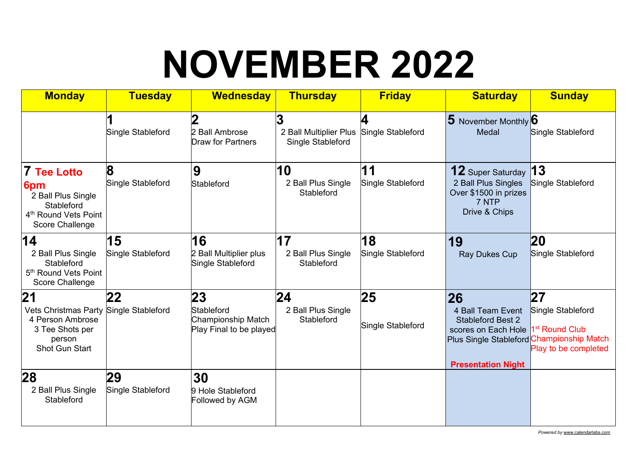# **NOVEMBER 2022**

| <b>Monday</b>                                                                                                        | <b>Tuesday</b>          | <b>Wednesday</b>                                                  | <b>Thursday</b>                                  | <b>Friday</b>           | <b>Saturday</b>                                                                                                                                                                  | <b>Sunday</b>                                   |
|----------------------------------------------------------------------------------------------------------------------|-------------------------|-------------------------------------------------------------------|--------------------------------------------------|-------------------------|----------------------------------------------------------------------------------------------------------------------------------------------------------------------------------|-------------------------------------------------|
|                                                                                                                      | Single Stableford       | 2<br>2 Ball Ambrose<br><b>Draw for Partners</b>                   | 3<br>2 Ball Multiplier Plus<br>Single Stableford | Single Stableford       | 5 November Monthly 6<br>Medal                                                                                                                                                    | Single Stableford                               |
| <b>7 Tee Lotto</b><br>6pm<br>2 Ball Plus Single<br>Stableford<br>4 <sup>th</sup> Round Vets Point<br>Score Challenge | 8<br>Single Stableford  | 9<br>Stableford                                                   | 10<br>2 Ball Plus Single<br>Stableford           | 11<br>Single Stableford | <b>12</b> Super Saturday<br>2 Ball Plus Singles<br>Over \$1500 in prizes<br>7 NTP<br>Drive & Chips                                                                               | 13<br>Single Stableford                         |
| 14<br>2 Ball Plus Single<br>Stableford<br>5 <sup>th</sup> Round Vets Point<br>Score Challenge                        | 15<br>Single Stableford | 16<br>2 Ball Multiplier plus<br>Single Stableford                 | 17<br>2 Ball Plus Single<br>Stableford           | 18<br>Single Stableford | 19<br><b>Ray Dukes Cup</b>                                                                                                                                                       | <b>20</b><br>Single Stableford                  |
| 21<br>Vets Christmas Party Single Stableford<br>4 Person Ambrose<br>3 Tee Shots per<br>person<br>Shot Gun Start      | 22                      | 23<br>Stableford<br>Championship Match<br>Play Final to be played | 24<br>2 Ball Plus Single<br>Stableford           | 25<br>Single Stableford | 26<br>4 Ball Team Event<br><b>Stableford Best 2</b><br>scores on Each Hole  1 <sup>st</sup> Round Club<br>Plus Single Stableford Championship Match<br><b>Presentation Night</b> | 27<br>Single Stableford<br>Play to be completed |
| 28<br>2 Ball Plus Single<br>Stableford                                                                               | 29<br>Single Stableford | 30<br>9 Hole Stableford<br>Followed by AGM                        |                                                  |                         |                                                                                                                                                                                  |                                                 |

*Powered by* www.calendarlabs.com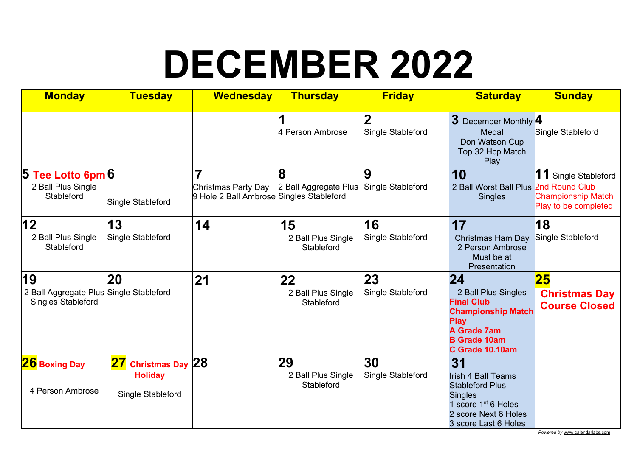# **DECEMBER 2022**

| <b>Monday</b>                                                              | <b>Tuesday</b>                                                       | <b>Wednesday</b>                                                | <b>Thursday</b>                        | <b>Friday</b>           | <b>Saturday</b>                                                                                                                                                | <b>Sunday</b>                                                             |
|----------------------------------------------------------------------------|----------------------------------------------------------------------|-----------------------------------------------------------------|----------------------------------------|-------------------------|----------------------------------------------------------------------------------------------------------------------------------------------------------------|---------------------------------------------------------------------------|
|                                                                            |                                                                      |                                                                 | 4 Person Ambrose                       | Single Stableford       | 3 December Monthly 4<br>Medal<br>Don Watson Cup<br>Top 32 Hcp Match<br>Play                                                                                    | Single Stableford                                                         |
| Tee Lotto 6pm 6<br>$\bf 5$<br>2 Ball Plus Single<br>Stableford             | Single Stableford                                                    | Christmas Party Day<br>9 Hole 2 Ball Ambrose Singles Stableford | Զ<br>2 Ball Aggregate Plus             | 9<br>Single Stableford  | 10<br>2 Ball Worst Ball Plus 2nd Round Club<br><b>Singles</b>                                                                                                  | 11 Single Stableford<br><b>Championship Match</b><br>Play to be completed |
| 12<br>2 Ball Plus Single<br>Stableford                                     | 13<br>Single Stableford                                              | 14                                                              | 15<br>2 Ball Plus Single<br>Stableford | 16<br>Single Stableford | 17<br><b>Christmas Ham Day</b><br>2 Person Ambrose<br>Must be at<br>Presentation                                                                               | 18<br>Single Stableford                                                   |
| 19<br>2 Ball Aggregate Plus Single Stableford<br><b>Singles Stableford</b> | 20                                                                   | 21                                                              | 22<br>2 Ball Plus Single<br>Stableford | 23<br>Single Stableford | 24<br>2 Ball Plus Singles<br><b>Final Club</b><br><b>Championship Match</b><br><b>Play</b><br><b>A Grade 7am</b><br><b>B Grade 10am</b><br>C Grade 10.10am     | 25<br><b>Christmas Day</b><br><b>Course Closed</b>                        |
| <b>26</b> Boxing Day<br>4 Person Ambrose                                   | <b>Christmas Day 28</b><br>27<br><b>Holiday</b><br>Single Stableford |                                                                 | 29<br>2 Ball Plus Single<br>Stableford | 30<br>Single Stableford | 31<br><b>Irish 4 Ball Teams</b><br><b>Stableford Plus</b><br><b>Singles</b><br>1 score 1 <sup>st</sup> 6 Holes<br>2 score Next 6 Holes<br>3 score Last 6 Holes |                                                                           |

*Powered by* www.calendarlabs.com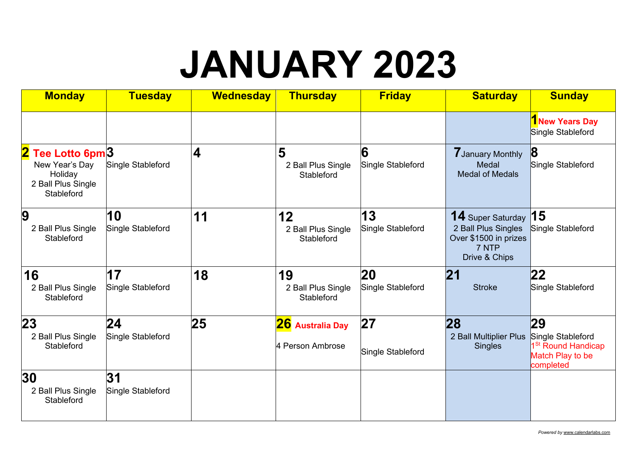#### **JANUARY 2023**

| <b>Monday</b>                                                                     | <b>Tuesday</b>           | <b>Wednesday</b> | <b>Thursday</b>                        | <b>Friday</b>           | <b>Saturday</b>                                                                                    | <b>Sunday</b>                                                                              |
|-----------------------------------------------------------------------------------|--------------------------|------------------|----------------------------------------|-------------------------|----------------------------------------------------------------------------------------------------|--------------------------------------------------------------------------------------------|
|                                                                                   |                          |                  |                                        |                         |                                                                                                    | <b>T</b> New Years Day<br>Single Stableford                                                |
| 2 Tee Lotto 6pm3<br>New Year's Day<br>Holiday<br>2 Ball Plus Single<br>Stableford | <b>Single Stableford</b> | 4                | 5<br>2 Ball Plus Single<br>Stableford  | 6<br>Single Stableford  | <b>7 January Monthly</b><br>Medal<br><b>Medal of Medals</b>                                        | $\vert 8$<br>Single Stableford                                                             |
| 9<br>2 Ball Plus Single<br>Stableford                                             | 10<br>Single Stableford  | 11               | 12<br>2 Ball Plus Single<br>Stableford | 13<br>Single Stableford | <b>14</b> Super Saturday<br>2 Ball Plus Singles<br>Over \$1500 in prizes<br>7 NTP<br>Drive & Chips | 15<br>Single Stableford                                                                    |
| 16<br>2 Ball Plus Single<br>Stableford                                            | 17<br>Single Stableford  | 18               | 19<br>2 Ball Plus Single<br>Stableford | 20<br>Single Stableford | 21<br><b>Stroke</b>                                                                                | 22 <br>Single Stableford                                                                   |
| 23<br>2 Ball Plus Single<br>Stableford                                            | 24<br>Single Stableford  | 25               | 26 Australia Day<br>4 Person Ambrose   | 27<br>Single Stableford | 28<br>2 Ball Multiplier Plus<br><b>Singles</b>                                                     | 29<br>Single Stableford<br>1 <sup>St</sup> Round Handicap<br>Match Play to be<br>completed |
| 30<br>2 Ball Plus Single<br>Stableford                                            | 31<br>Single Stableford  |                  |                                        |                         |                                                                                                    |                                                                                            |